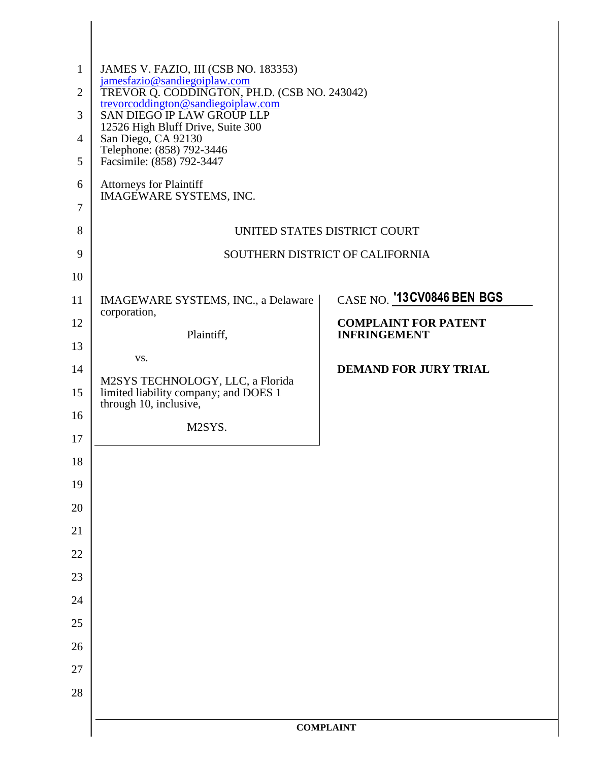| $\mathbf{1}$<br>$\overline{2}$<br>3<br>$\overline{4}$ | JAMES V. FAZIO, III (CSB NO. 183353)<br>jamesfazio@sandiegoiplaw.com<br>TREVOR Q. CODDINGTON, PH.D. (CSB NO. 243042)<br>trevorcoddington@sandiegoiplaw.com<br><b>SAN DIEGO IP LAW GROUP LLP</b><br>12526 High Bluff Drive, Suite 300<br>San Diego, CA 92130<br>Telephone: (858) 792-3446 |                                                    |  |
|-------------------------------------------------------|------------------------------------------------------------------------------------------------------------------------------------------------------------------------------------------------------------------------------------------------------------------------------------------|----------------------------------------------------|--|
| 5<br>6                                                | Facsimile: (858) 792-3447<br><b>Attorneys for Plaintiff</b><br><b>IMAGEWARE SYSTEMS, INC.</b>                                                                                                                                                                                            |                                                    |  |
| 7                                                     |                                                                                                                                                                                                                                                                                          |                                                    |  |
| 8                                                     |                                                                                                                                                                                                                                                                                          | UNITED STATES DISTRICT COURT                       |  |
| 9                                                     | SOUTHERN DISTRICT OF CALIFORNIA                                                                                                                                                                                                                                                          |                                                    |  |
| 10                                                    |                                                                                                                                                                                                                                                                                          |                                                    |  |
| 11                                                    | IMAGEWARE SYSTEMS, INC., a Delaware<br>corporation,                                                                                                                                                                                                                                      | CASE NO. '13CV0846 BEN BGS                         |  |
| 12                                                    | Plaintiff,                                                                                                                                                                                                                                                                               | <b>COMPLAINT FOR PATENT</b><br><b>INFRINGEMENT</b> |  |
| 13                                                    | VS.                                                                                                                                                                                                                                                                                      |                                                    |  |
| 14                                                    | M2SYS TECHNOLOGY, LLC, a Florida                                                                                                                                                                                                                                                         | <b>DEMAND FOR JURY TRIAL</b>                       |  |
| 15                                                    | limited liability company; and DOES 1<br>through 10, inclusive,                                                                                                                                                                                                                          |                                                    |  |
| 16                                                    | M2SYS.                                                                                                                                                                                                                                                                                   |                                                    |  |
| 17                                                    |                                                                                                                                                                                                                                                                                          |                                                    |  |
| 18                                                    |                                                                                                                                                                                                                                                                                          |                                                    |  |
| 19<br>20                                              |                                                                                                                                                                                                                                                                                          |                                                    |  |
| 21                                                    |                                                                                                                                                                                                                                                                                          |                                                    |  |
| 22                                                    |                                                                                                                                                                                                                                                                                          |                                                    |  |
| 23                                                    |                                                                                                                                                                                                                                                                                          |                                                    |  |
| 24                                                    |                                                                                                                                                                                                                                                                                          |                                                    |  |
| 25                                                    |                                                                                                                                                                                                                                                                                          |                                                    |  |
| 26                                                    |                                                                                                                                                                                                                                                                                          |                                                    |  |
| 27                                                    |                                                                                                                                                                                                                                                                                          |                                                    |  |
| 28                                                    |                                                                                                                                                                                                                                                                                          |                                                    |  |
|                                                       |                                                                                                                                                                                                                                                                                          |                                                    |  |
|                                                       | <b>COMPLAINT</b>                                                                                                                                                                                                                                                                         |                                                    |  |

I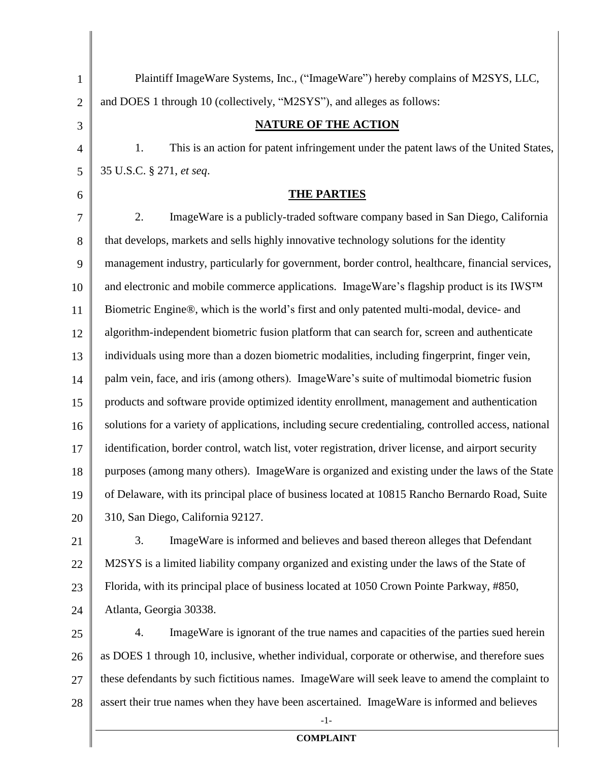| $\mathbf{1}$   | Plaintiff ImageWare Systems, Inc., ("ImageWare") hereby complains of M2SYS, LLC,                     |  |  |
|----------------|------------------------------------------------------------------------------------------------------|--|--|
| $\overline{2}$ | and DOES 1 through 10 (collectively, "M2SYS"), and alleges as follows:                               |  |  |
| 3              | <b>NATURE OF THE ACTION</b>                                                                          |  |  |
| 4              | 1.<br>This is an action for patent infringement under the patent laws of the United States,          |  |  |
| 5              | 35 U.S.C. § 271, et seq.                                                                             |  |  |
| 6              | <b>THE PARTIES</b>                                                                                   |  |  |
| 7              | 2.<br>ImageWare is a publicly-traded software company based in San Diego, California                 |  |  |
| 8              | that develops, markets and sells highly innovative technology solutions for the identity             |  |  |
| 9              | management industry, particularly for government, border control, healthcare, financial services,    |  |  |
| 10             | and electronic and mobile commerce applications. ImageWare's flagship product is its IWSTM           |  |  |
| 11             | Biometric Engine®, which is the world's first and only patented multi-modal, device- and             |  |  |
| 12             | algorithm-independent biometric fusion platform that can search for, screen and authenticate         |  |  |
| 13             | individuals using more than a dozen biometric modalities, including fingerprint, finger vein,        |  |  |
| 14             | palm vein, face, and iris (among others). ImageWare's suite of multimodal biometric fusion           |  |  |
| 15             | products and software provide optimized identity enrollment, management and authentication           |  |  |
| 16             | solutions for a variety of applications, including secure credentialing, controlled access, national |  |  |
| 17             | identification, border control, watch list, voter registration, driver license, and airport security |  |  |
| 18             | purposes (among many others). ImageWare is organized and existing under the laws of the State        |  |  |
| 19             | of Delaware, with its principal place of business located at 10815 Rancho Bernardo Road, Suite       |  |  |
| 20             | 310, San Diego, California 92127.                                                                    |  |  |
| 21             | 3.<br>ImageWare is informed and believes and based thereon alleges that Defendant                    |  |  |
| 22             | M2SYS is a limited liability company organized and existing under the laws of the State of           |  |  |
| 23             | Florida, with its principal place of business located at 1050 Crown Pointe Parkway, #850,            |  |  |
| 24             | Atlanta, Georgia 30338.                                                                              |  |  |
| 25             | ImageWare is ignorant of the true names and capacities of the parties sued herein<br>4.              |  |  |
| 26             | as DOES 1 through 10, inclusive, whether individual, corporate or otherwise, and therefore sues      |  |  |
| 27             | these defendants by such fictitious names. ImageWare will seek leave to amend the complaint to       |  |  |
| 28             | assert their true names when they have been ascertained. Image Ware is informed and believes         |  |  |
|                | $-1-$<br><b>COMPLAINT</b>                                                                            |  |  |
|                |                                                                                                      |  |  |

## **COMPLAINT**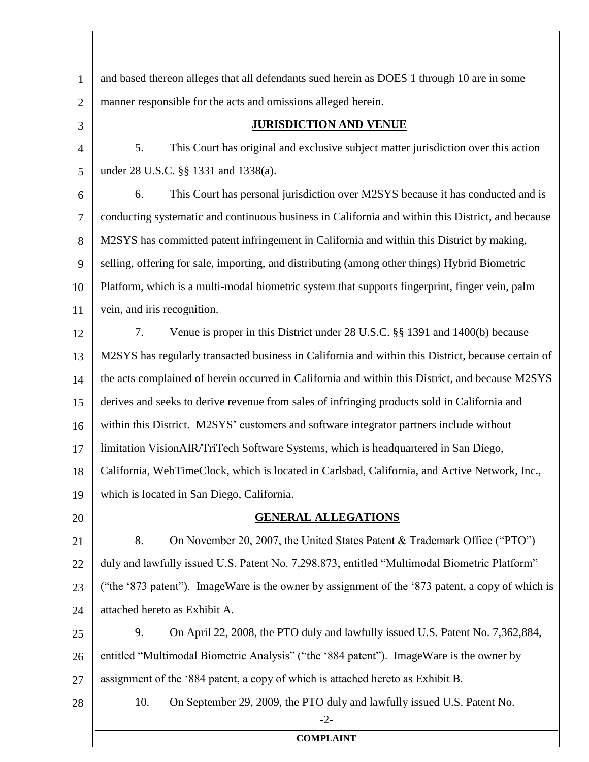| $\mathbf{1}$   | and based thereon alleges that all defendants sued herein as DOES 1 through 10 are in some         |  |  |
|----------------|----------------------------------------------------------------------------------------------------|--|--|
| $\overline{2}$ | manner responsible for the acts and omissions alleged herein.                                      |  |  |
| 3              | <b>JURISDICTION AND VENUE</b>                                                                      |  |  |
| $\overline{4}$ | This Court has original and exclusive subject matter jurisdiction over this action<br>5.           |  |  |
| 5              | under 28 U.S.C. §§ 1331 and 1338(a).                                                               |  |  |
| 6              | This Court has personal jurisdiction over M2SYS because it has conducted and is<br>6.              |  |  |
| $\overline{7}$ | conducting systematic and continuous business in California and within this District, and because  |  |  |
| 8              | M2SYS has committed patent infringement in California and within this District by making,          |  |  |
| 9              | selling, offering for sale, importing, and distributing (among other things) Hybrid Biometric      |  |  |
| 10             | Platform, which is a multi-modal biometric system that supports fingerprint, finger vein, palm     |  |  |
| 11             | vein, and iris recognition.                                                                        |  |  |
| 12             | Venue is proper in this District under 28 U.S.C. §§ 1391 and 1400(b) because<br>7.                 |  |  |
| 13             | M2SYS has regularly transacted business in California and within this District, because certain of |  |  |
| 14             | the acts complained of herein occurred in California and within this District, and because M2SYS   |  |  |
| 15             | derives and seeks to derive revenue from sales of infringing products sold in California and       |  |  |
| 16             | within this District. M2SYS' customers and software integrator partners include without            |  |  |
| 17             | limitation VisionAIR/TriTech Software Systems, which is headquartered in San Diego,                |  |  |
| 18             | California, WebTimeClock, which is located in Carlsbad, California, and Active Network, Inc.,      |  |  |
| 19             | which is located in San Diego, California.                                                         |  |  |
| 20             | <b>GENERAL ALLEGATIONS</b>                                                                         |  |  |
| 21             | 8.<br>On November 20, 2007, the United States Patent & Trademark Office ("PTO")                    |  |  |
| 22             | duly and lawfully issued U.S. Patent No. 7,298,873, entitled "Multimodal Biometric Platform"       |  |  |
| 23             | ("the '873 patent"). ImageWare is the owner by assignment of the '873 patent, a copy of which is   |  |  |
| 24             | attached hereto as Exhibit A.                                                                      |  |  |
| 25             | 9.<br>On April 22, 2008, the PTO duly and lawfully issued U.S. Patent No. 7,362,884,               |  |  |
| 26             | entitled "Multimodal Biometric Analysis" ("the '884 patent"). Image Ware is the owner by           |  |  |
| 27             | assignment of the '884 patent, a copy of which is attached hereto as Exhibit B.                    |  |  |
| 28             | 10.<br>On September 29, 2009, the PTO duly and lawfully issued U.S. Patent No.<br>$-2-$            |  |  |
|                | <b>COMPLAINT</b>                                                                                   |  |  |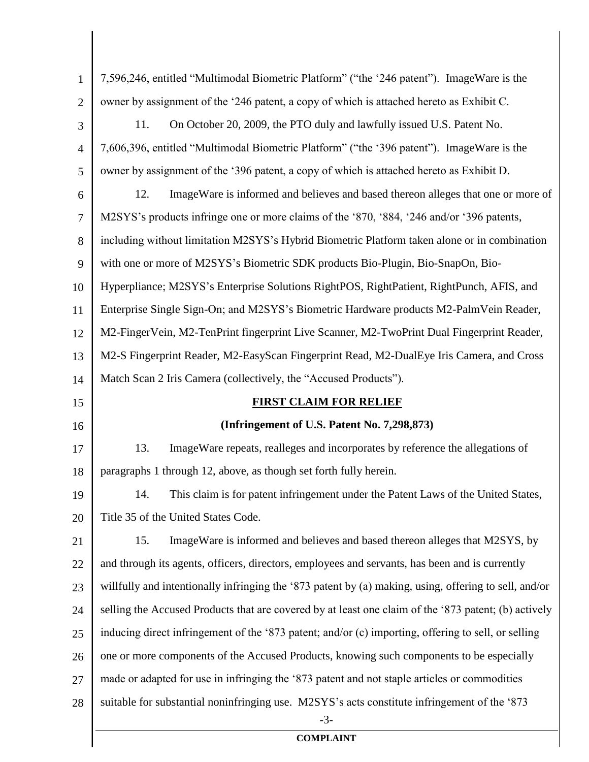| $\mathbf{1}$   | 7,596,246, entitled "Multimodal Biometric Platform" ("the '246 patent"). Image Ware is the            |  |  |
|----------------|-------------------------------------------------------------------------------------------------------|--|--|
| $\overline{2}$ | owner by assignment of the '246 patent, a copy of which is attached hereto as Exhibit C.              |  |  |
| 3              | 11.<br>On October 20, 2009, the PTO duly and lawfully issued U.S. Patent No.                          |  |  |
| $\overline{4}$ | 7,606,396, entitled "Multimodal Biometric Platform" ("the '396 patent"). Image Ware is the            |  |  |
| 5              | owner by assignment of the '396 patent, a copy of which is attached hereto as Exhibit D.              |  |  |
| 6              | 12.<br>ImageWare is informed and believes and based thereon alleges that one or more of               |  |  |
| 7              | M2SYS's products infringe one or more claims of the '870, '884, '246 and/or '396 patents,             |  |  |
| 8              | including without limitation M2SYS's Hybrid Biometric Platform taken alone or in combination          |  |  |
| 9              | with one or more of M2SYS's Biometric SDK products Bio-Plugin, Bio-SnapOn, Bio-                       |  |  |
| 10             | Hyperpliance; M2SYS's Enterprise Solutions RightPOS, RightPatient, RightPunch, AFIS, and              |  |  |
| 11             | Enterprise Single Sign-On; and M2SYS's Biometric Hardware products M2-PalmVein Reader,                |  |  |
| 12             | M2-FingerVein, M2-TenPrint fingerprint Live Scanner, M2-TwoPrint Dual Fingerprint Reader,             |  |  |
| 13             | M2-S Fingerprint Reader, M2-EasyScan Fingerprint Read, M2-DualEye Iris Camera, and Cross              |  |  |
| 14             | Match Scan 2 Iris Camera (collectively, the "Accused Products").                                      |  |  |
| 15             | <b>FIRST CLAIM FOR RELIEF</b>                                                                         |  |  |
| 16             | (Infringement of U.S. Patent No. 7,298,873)                                                           |  |  |
| 17             | ImageWare repeats, realleges and incorporates by reference the allegations of<br>13.                  |  |  |
| 18             | paragraphs 1 through 12, above, as though set forth fully herein.                                     |  |  |
| 19             | This claim is for patent infringement under the Patent Laws of the United States,<br>14.              |  |  |
| 20             | Title 35 of the United States Code.                                                                   |  |  |
| 21             | ImageWare is informed and believes and based thereon alleges that M2SYS, by<br>15.                    |  |  |
| 22             | and through its agents, officers, directors, employees and servants, has been and is currently        |  |  |
| 23             | willfully and intentionally infringing the '873 patent by (a) making, using, offering to sell, and/or |  |  |
| 24             | selling the Accused Products that are covered by at least one claim of the '873 patent; (b) actively  |  |  |
| 25             | inducing direct infringement of the '873 patent; and/or (c) importing, offering to sell, or selling   |  |  |
| 26             | one or more components of the Accused Products, knowing such components to be especially              |  |  |
| 27             | made or adapted for use in infringing the '873 patent and not staple articles or commodities          |  |  |
| 28             | suitable for substantial noninfringing use. M2SYS's acts constitute infringement of the '873<br>$-3-$ |  |  |
|                | <b>COMPLAINT</b>                                                                                      |  |  |
|                |                                                                                                       |  |  |

 $\parallel$ 

## **COMPLAINT**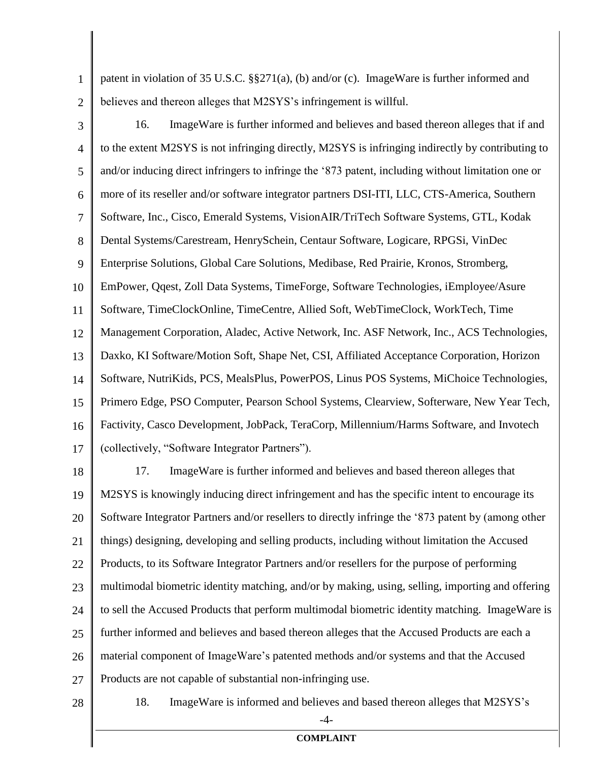1 2 patent in violation of 35 U.S.C. §§271(a), (b) and/or (c). ImageWare is further informed and believes and thereon alleges that M2SYS's infringement is willful.

3 4 5 6 7 8 9 10 11 12 13 14 15 16 17 16. ImageWare is further informed and believes and based thereon alleges that if and to the extent M2SYS is not infringing directly, M2SYS is infringing indirectly by contributing to and/or inducing direct infringers to infringe the '873 patent, including without limitation one or more of its reseller and/or software integrator partners DSI-ITI, LLC, CTS-America, Southern Software, Inc., Cisco, Emerald Systems, VisionAIR/TriTech Software Systems, GTL, Kodak Dental Systems/Carestream, HenrySchein, Centaur Software, Logicare, RPGSi, VinDec Enterprise Solutions, Global Care Solutions, Medibase, Red Prairie, Kronos, Stromberg, EmPower, Qqest, Zoll Data Systems, TimeForge, Software Technologies, iEmployee/Asure Software, TimeClockOnline, TimeCentre, Allied Soft, WebTimeClock, WorkTech, Time Management Corporation, Aladec, Active Network, Inc. ASF Network, Inc., ACS Technologies, Daxko, KI Software/Motion Soft, Shape Net, CSI, Affiliated Acceptance Corporation, Horizon Software, NutriKids, PCS, MealsPlus, PowerPOS, Linus POS Systems, MiChoice Technologies, Primero Edge, PSO Computer, Pearson School Systems, Clearview, Softerware, New Year Tech, Factivity, Casco Development, JobPack, TeraCorp, Millennium/Harms Software, and Invotech (collectively, "Software Integrator Partners").

18 19 20 21 22 23 24 25 26 27 17. ImageWare is further informed and believes and based thereon alleges that M2SYS is knowingly inducing direct infringement and has the specific intent to encourage its Software Integrator Partners and/or resellers to directly infringe the '873 patent by (among other things) designing, developing and selling products, including without limitation the Accused Products, to its Software Integrator Partners and/or resellers for the purpose of performing multimodal biometric identity matching, and/or by making, using, selling, importing and offering to sell the Accused Products that perform multimodal biometric identity matching. ImageWare is further informed and believes and based thereon alleges that the Accused Products are each a material component of ImageWare's patented methods and/or systems and that the Accused Products are not capable of substantial non-infringing use.

28

18. ImageWare is informed and believes and based thereon alleges that M2SYS's

 $-4-$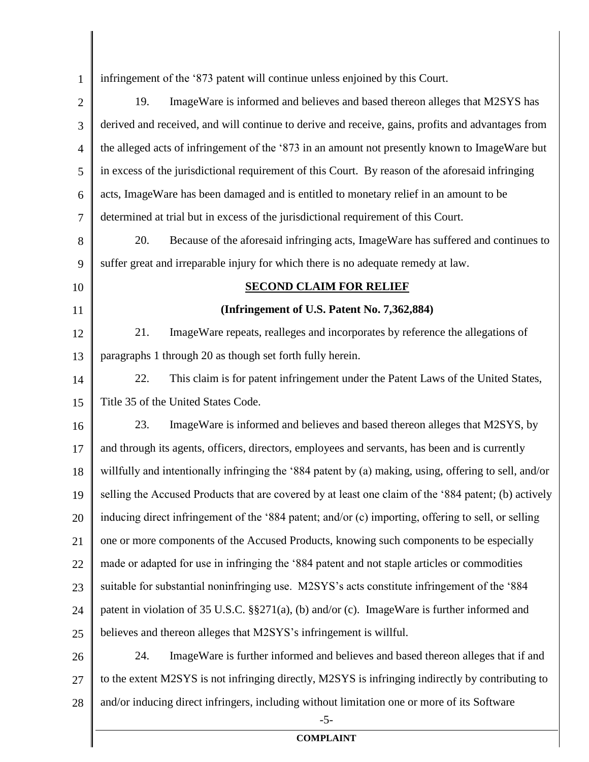| $\mathbf{1}$   | infringement of the '873 patent will continue unless enjoined by this Court.                          |  |  |
|----------------|-------------------------------------------------------------------------------------------------------|--|--|
| $\overline{2}$ | 19.<br>ImageWare is informed and believes and based thereon alleges that M2SYS has                    |  |  |
| 3              | derived and received, and will continue to derive and receive, gains, profits and advantages from     |  |  |
| $\overline{4}$ | the alleged acts of infringement of the '873 in an amount not presently known to ImageWare but        |  |  |
| 5              | in excess of the jurisdictional requirement of this Court. By reason of the aforesaid infringing      |  |  |
| 6              | acts, ImageWare has been damaged and is entitled to monetary relief in an amount to be                |  |  |
| 7              | determined at trial but in excess of the jurisdictional requirement of this Court.                    |  |  |
| 8              | 20.<br>Because of the aforesaid infringing acts, ImageWare has suffered and continues to              |  |  |
| 9              | suffer great and irreparable injury for which there is no adequate remedy at law.                     |  |  |
| 10             | <b>SECOND CLAIM FOR RELIEF</b>                                                                        |  |  |
| 11             | (Infringement of U.S. Patent No. 7,362,884)                                                           |  |  |
| 12             | 21.<br>ImageWare repeats, realleges and incorporates by reference the allegations of                  |  |  |
| 13             | paragraphs 1 through 20 as though set forth fully herein.                                             |  |  |
| 14             | 22.<br>This claim is for patent infringement under the Patent Laws of the United States,              |  |  |
| 15             | Title 35 of the United States Code.                                                                   |  |  |
| 16             | 23.<br>ImageWare is informed and believes and based thereon alleges that M2SYS, by                    |  |  |
| 17             | and through its agents, officers, directors, employees and servants, has been and is currently        |  |  |
| 18             | willfully and intentionally infringing the '884 patent by (a) making, using, offering to sell, and/or |  |  |
| 19             | selling the Accused Products that are covered by at least one claim of the '884 patent; (b) actively  |  |  |
| 20             | inducing direct infringement of the '884 patent; and/or (c) importing, offering to sell, or selling   |  |  |
| 21             | one or more components of the Accused Products, knowing such components to be especially              |  |  |
| 22             | made or adapted for use in infringing the '884 patent and not staple articles or commodities          |  |  |
| 23             | suitable for substantial noninfringing use. M2SYS's acts constitute infringement of the '884          |  |  |
| 24             | patent in violation of 35 U.S.C. $\S$ §271(a), (b) and/or (c). ImageWare is further informed and      |  |  |
| 25             | believes and thereon alleges that M2SYS's infringement is willful.                                    |  |  |
| 26             | 24.<br>ImageWare is further informed and believes and based thereon alleges that if and               |  |  |
| 27             | to the extent M2SYS is not infringing directly, M2SYS is infringing indirectly by contributing to     |  |  |
| 28             | and/or inducing direct infringers, including without limitation one or more of its Software           |  |  |
|                | $-5-$                                                                                                 |  |  |

║

**COMPLAINT**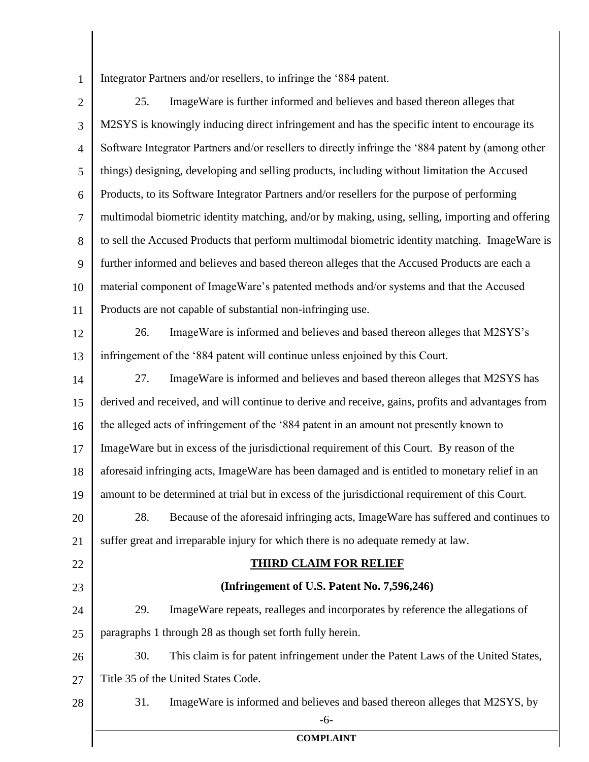1 Integrator Partners and/or resellers, to infringe the '884 patent.

2 3 4 5 6 7 8 9 10 11 12 13 14 15 16 17 18 19 20 21 22 23 24 25 26 27 28 -6- **COMPLAINT** 25. ImageWare is further informed and believes and based thereon alleges that M2SYS is knowingly inducing direct infringement and has the specific intent to encourage its Software Integrator Partners and/or resellers to directly infringe the '884 patent by (among other things) designing, developing and selling products, including without limitation the Accused Products, to its Software Integrator Partners and/or resellers for the purpose of performing multimodal biometric identity matching, and/or by making, using, selling, importing and offering to sell the Accused Products that perform multimodal biometric identity matching. ImageWare is further informed and believes and based thereon alleges that the Accused Products are each a material component of ImageWare's patented methods and/or systems and that the Accused Products are not capable of substantial non-infringing use. 26. ImageWare is informed and believes and based thereon alleges that M2SYS's infringement of the '884 patent will continue unless enjoined by this Court. 27. ImageWare is informed and believes and based thereon alleges that M2SYS has derived and received, and will continue to derive and receive, gains, profits and advantages from the alleged acts of infringement of the '884 patent in an amount not presently known to ImageWare but in excess of the jurisdictional requirement of this Court. By reason of the aforesaid infringing acts, ImageWare has been damaged and is entitled to monetary relief in an amount to be determined at trial but in excess of the jurisdictional requirement of this Court. 28. Because of the aforesaid infringing acts, ImageWare has suffered and continues to suffer great and irreparable injury for which there is no adequate remedy at law. **THIRD CLAIM FOR RELIEF (Infringement of U.S. Patent No. 7,596,246)** 29. ImageWare repeats, realleges and incorporates by reference the allegations of paragraphs 1 through 28 as though set forth fully herein. 30. This claim is for patent infringement under the Patent Laws of the United States, Title 35 of the United States Code. 31. ImageWare is informed and believes and based thereon alleges that M2SYS, by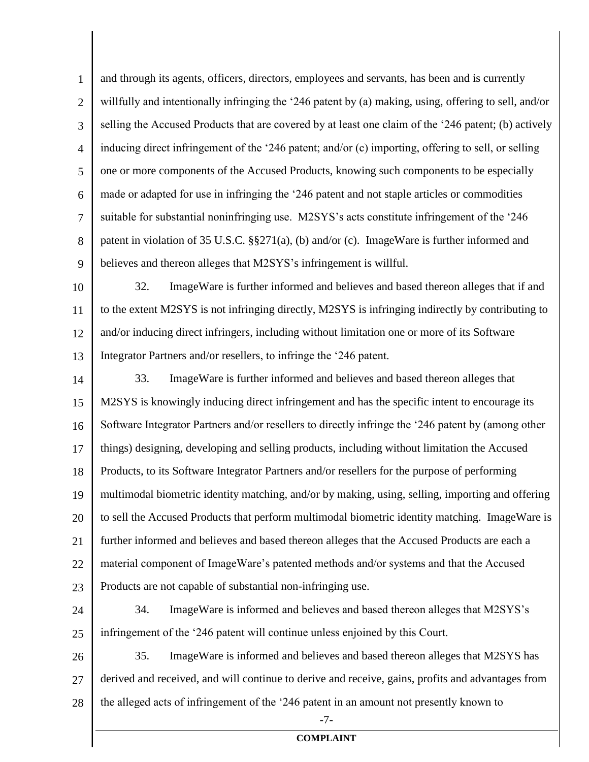1 2 3 4 5 6 7 8 9 and through its agents, officers, directors, employees and servants, has been and is currently willfully and intentionally infringing the '246 patent by (a) making, using, offering to sell, and/or selling the Accused Products that are covered by at least one claim of the '246 patent; (b) actively inducing direct infringement of the '246 patent; and/or (c) importing, offering to sell, or selling one or more components of the Accused Products, knowing such components to be especially made or adapted for use in infringing the '246 patent and not staple articles or commodities suitable for substantial noninfringing use. M2SYS's acts constitute infringement of the '246 patent in violation of 35 U.S.C. §§271(a), (b) and/or (c). ImageWare is further informed and believes and thereon alleges that M2SYS's infringement is willful.

10 11 12 13 32. ImageWare is further informed and believes and based thereon alleges that if and to the extent M2SYS is not infringing directly, M2SYS is infringing indirectly by contributing to and/or inducing direct infringers, including without limitation one or more of its Software Integrator Partners and/or resellers, to infringe the '246 patent.

14 15 16 17 18 19 20 21 22 23 33. ImageWare is further informed and believes and based thereon alleges that M2SYS is knowingly inducing direct infringement and has the specific intent to encourage its Software Integrator Partners and/or resellers to directly infringe the '246 patent by (among other things) designing, developing and selling products, including without limitation the Accused Products, to its Software Integrator Partners and/or resellers for the purpose of performing multimodal biometric identity matching, and/or by making, using, selling, importing and offering to sell the Accused Products that perform multimodal biometric identity matching. ImageWare is further informed and believes and based thereon alleges that the Accused Products are each a material component of ImageWare's patented methods and/or systems and that the Accused Products are not capable of substantial non-infringing use.

24

25

34. ImageWare is informed and believes and based thereon alleges that M2SYS's infringement of the '246 patent will continue unless enjoined by this Court.

26 27 28 35. ImageWare is informed and believes and based thereon alleges that M2SYS has derived and received, and will continue to derive and receive, gains, profits and advantages from the alleged acts of infringement of the '246 patent in an amount not presently known to

-7-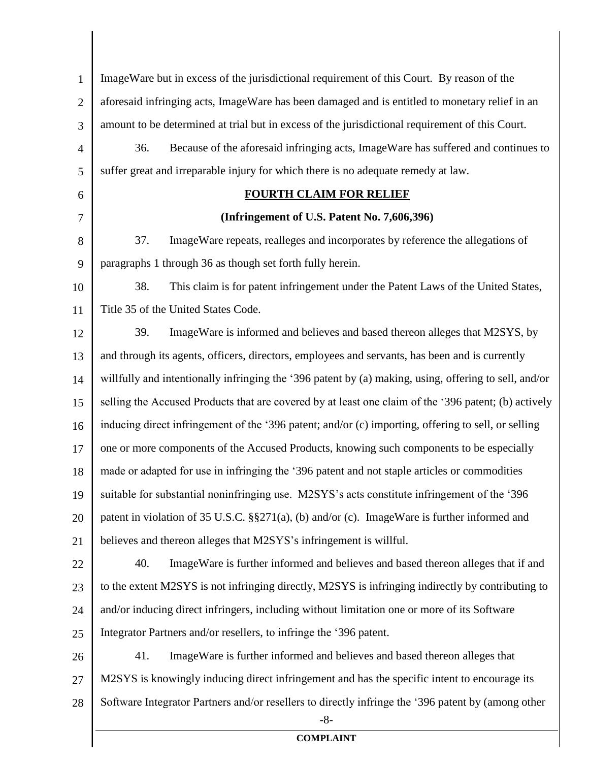1 2 3 4 5 6 7 8 9 10 11 12 13 14 15 16 17 18 19 20 21 22 23 24 25 26 27 28 -8- **COMPLAINT** ImageWare but in excess of the jurisdictional requirement of this Court. By reason of the aforesaid infringing acts, ImageWare has been damaged and is entitled to monetary relief in an amount to be determined at trial but in excess of the jurisdictional requirement of this Court. 36. Because of the aforesaid infringing acts, ImageWare has suffered and continues to suffer great and irreparable injury for which there is no adequate remedy at law. **FOURTH CLAIM FOR RELIEF (Infringement of U.S. Patent No. 7,606,396)** 37. ImageWare repeats, realleges and incorporates by reference the allegations of paragraphs 1 through 36 as though set forth fully herein. 38. This claim is for patent infringement under the Patent Laws of the United States, Title 35 of the United States Code. 39. ImageWare is informed and believes and based thereon alleges that M2SYS, by and through its agents, officers, directors, employees and servants, has been and is currently willfully and intentionally infringing the '396 patent by (a) making, using, offering to sell, and/or selling the Accused Products that are covered by at least one claim of the '396 patent; (b) actively inducing direct infringement of the '396 patent; and/or (c) importing, offering to sell, or selling one or more components of the Accused Products, knowing such components to be especially made or adapted for use in infringing the '396 patent and not staple articles or commodities suitable for substantial noninfringing use. M2SYS's acts constitute infringement of the '396 patent in violation of 35 U.S.C. §§271(a), (b) and/or (c). ImageWare is further informed and believes and thereon alleges that M2SYS's infringement is willful. 40. ImageWare is further informed and believes and based thereon alleges that if and to the extent M2SYS is not infringing directly, M2SYS is infringing indirectly by contributing to and/or inducing direct infringers, including without limitation one or more of its Software Integrator Partners and/or resellers, to infringe the '396 patent. 41. ImageWare is further informed and believes and based thereon alleges that M2SYS is knowingly inducing direct infringement and has the specific intent to encourage its Software Integrator Partners and/or resellers to directly infringe the '396 patent by (among other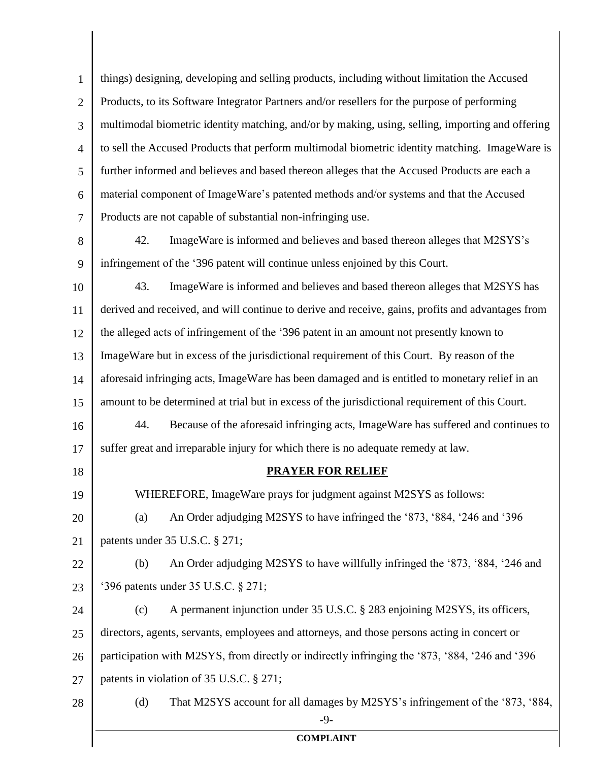1 2 3 4 5 6 7 things) designing, developing and selling products, including without limitation the Accused Products, to its Software Integrator Partners and/or resellers for the purpose of performing multimodal biometric identity matching, and/or by making, using, selling, importing and offering to sell the Accused Products that perform multimodal biometric identity matching. ImageWare is further informed and believes and based thereon alleges that the Accused Products are each a material component of ImageWare's patented methods and/or systems and that the Accused Products are not capable of substantial non-infringing use.

8 9 42. ImageWare is informed and believes and based thereon alleges that M2SYS's infringement of the '396 patent will continue unless enjoined by this Court.

10 11 12 13 14 15 16 17 43. ImageWare is informed and believes and based thereon alleges that M2SYS has derived and received, and will continue to derive and receive, gains, profits and advantages from the alleged acts of infringement of the '396 patent in an amount not presently known to ImageWare but in excess of the jurisdictional requirement of this Court. By reason of the aforesaid infringing acts, ImageWare has been damaged and is entitled to monetary relief in an amount to be determined at trial but in excess of the jurisdictional requirement of this Court. 44. Because of the aforesaid infringing acts, ImageWare has suffered and continues to suffer great and irreparable injury for which there is no adequate remedy at law.

**PRAYER FOR RELIEF**

WHEREFORE, ImageWare prays for judgment against M2SYS as follows:

18

19

20 21 (a) An Order adjudging M2SYS to have infringed the '873, '884, '246 and '396 patents under 35 U.S.C. § 271;

22 23 (b) An Order adjudging M2SYS to have willfully infringed the '873, '884, '246 and '396 patents under 35 U.S.C. § 271;

24 25 26 27 (c) A permanent injunction under 35 U.S.C. § 283 enjoining M2SYS, its officers, directors, agents, servants, employees and attorneys, and those persons acting in concert or participation with M2SYS, from directly or indirectly infringing the '873, '884, '246 and '396 patents in violation of 35 U.S.C. § 271;

28 -9- (d) That M2SYS account for all damages by M2SYS's infringement of the '873, '884,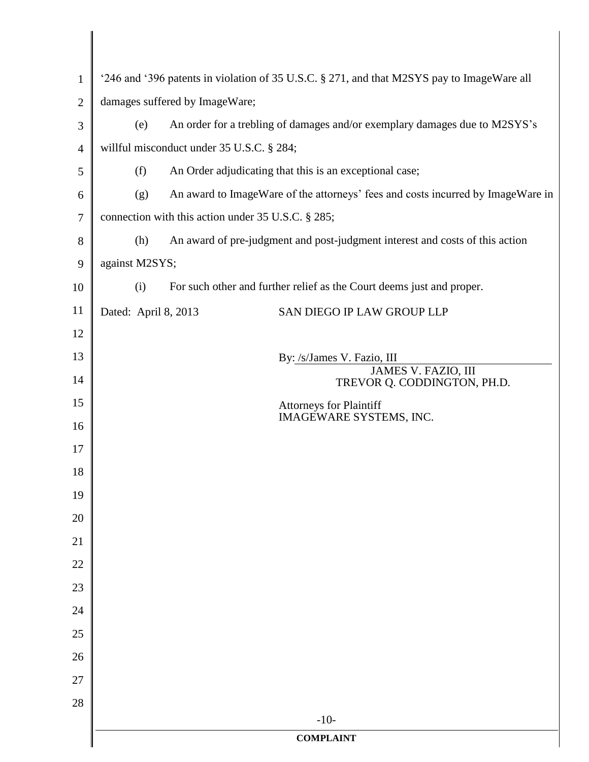| $\mathbf{1}$   | '246 and '396 patents in violation of 35 U.S.C. § 271, and that M2SYS pay to ImageWare all |  |  |
|----------------|--------------------------------------------------------------------------------------------|--|--|
| $\overline{2}$ | damages suffered by ImageWare;                                                             |  |  |
| 3              | An order for a trebling of damages and/or exemplary damages due to M2SYS's<br>(e)          |  |  |
| $\overline{4}$ | willful misconduct under 35 U.S.C. § 284;                                                  |  |  |
| 5              | (f)<br>An Order adjudicating that this is an exceptional case;                             |  |  |
| 6              | An award to ImageWare of the attorneys' fees and costs incurred by ImageWare in<br>(g)     |  |  |
| $\tau$         | connection with this action under 35 U.S.C. § 285;                                         |  |  |
| 8              | An award of pre-judgment and post-judgment interest and costs of this action<br>(h)        |  |  |
| 9              | against M2SYS;                                                                             |  |  |
| 10             | For such other and further relief as the Court deems just and proper.<br>(i)               |  |  |
| 11             | Dated: April 8, 2013<br>SAN DIEGO IP LAW GROUP LLP                                         |  |  |
| 12             |                                                                                            |  |  |
| 13             | By: /s/James V. Fazio, III<br>JAMES V. FAZIO, III                                          |  |  |
| 14             | TREVOR Q. CODDINGTON, PH.D.                                                                |  |  |
| 15             | Attorneys for Plaintiff<br>IMAGEWARE SYSTEMS, INC.                                         |  |  |
| 16             |                                                                                            |  |  |
| 17             |                                                                                            |  |  |
| 18             |                                                                                            |  |  |
| 19             |                                                                                            |  |  |
| 20             |                                                                                            |  |  |
| 21             |                                                                                            |  |  |
| 22             |                                                                                            |  |  |
| 23             |                                                                                            |  |  |
| 24             |                                                                                            |  |  |
| 25             |                                                                                            |  |  |
| 26<br>27       |                                                                                            |  |  |
| 28             |                                                                                            |  |  |
|                | $-10-$                                                                                     |  |  |
|                | <b>COMPLAINT</b>                                                                           |  |  |